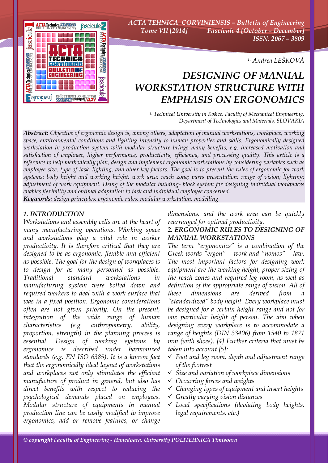

*ACTA TEHNICA CORVINIENSIS – Bulletin of Engineering Tome VII [2014] Fascicule 4 [October – December] ISSN: 2067 – 3809* 

*1. Andrea LEŠKOVÁ*

# *DESIGNING OF MANUAL WORKSTATION STRUCTURE WITH EMPHASIS ON ERGONOMICS*

*1. Technical University in Košice, Faculty of Mechanical Engineering, Department of Technologies and Materials, SLOVAKIA*

*Abstract: Objective of ergonomic design is, among others, adaptation of manual workstations, workplace, working space, environmental conditions and lighting intensity to human properties and skills. Ergonomically designed workstation in production system with modular structure brings many benefits, e.g. increased motivation and satisfaction of employee, higher performance, productivity, efficiency, and processing quality. This article is a reference to help methodically plan, design and implement ergonomic workstations by considering variables such as employee size, type of task, lighting, and other key factors. The goal is to present the rules of ergonomic for work systems: body height and working height; work area; reach zone; parts presentation; range of vision; lighting; adjustment of work equipment. Using of the modular building- block system for designing individual workplaces enables flexibility and optimal adaptation to task and individual employee concerned. Keywords: design principles; ergonomic rules; modular workstation; modelling*

#### *1. INTRODUCTION*

*Workstations and assembly cells are at the heart of many manufacturing operations. Working space and workstations play a vital role in worker productivity. It is therefore critical that they are designed to be as ergonomic, flexible and efficient as possible. The goal for the design of workplaces is to design for as many personnel as possible. Traditional standard workstations in manufacturing system were bolted down and required workers to deal with a work surface that was in a fixed position. Ergonomic considerations often are not given priority. On the present, integration of the wide range of human characteristics (e.g. anthropometry, ability, proportion, strength) in the planning process is essential. Design of working systems by ergonomics is described under harmonized standards (e.g. EN ISO 6385). It is a known fact that the ergonomically ideal layout of workstations and workplaces not only stimulates the efficient manufacture of product in general, but also has direct benefits with respect to reducing the psychological demands placed on employees. Modular structure of equipments in manual production line can be easily modified to improve ergonomics, add or remove features, or change* 

*dimensions, and the work area can be quickly rearranged for optimal productivity.* 

### *2. ERGONOMIC RULES TO DESIGNING OF MANUAL WORKSTATIONS*

*The term "ergonomics" is a combination of the Greek words "ergon" – work and "nomos" – law. The most important factors for designing work equipment are the working height, proper sizing of the reach zones and required leg room, as well as definition of the appropriate range of vision. All of these dimensions are derived from "standardized" body height. Every workplace must be designed for a certain height range and not for one particular height of person. The aim when designing every workplace is to accommodate a range of heights (DIN 33406) from 1540 to 1871 mm (with shoes). [4] Further criteria that must be taken into account [5]:* 

- 9 *Foot and leg room, depth and adjustment range of the footrest*
- 9 *Size and variation of workpiece dimensions*
- 9 *Occurring forces and weights*
- 9 *Changing types of equipment and insert heights*
- 9 *Greatly varying vision distances*
- 9 *Local specifications (deviating body heights, legal requirements, etc.)*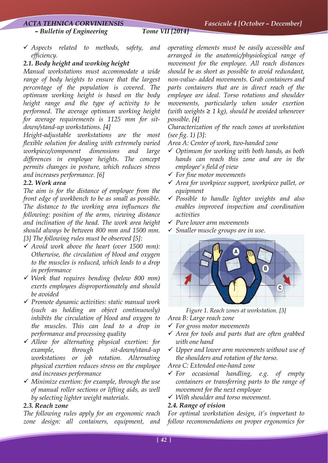#### *ACTA TEHNICA CORVINIENSIS Fascicule 4 [October – December]*

 *– Bulletin of Engineering Tome VII [2014]*

- 
- 9 *Aspects related to methods, safety, and efficiency.*

#### *2.1. Body height and working height*

*Manual workstations must accommodate a wide range of body heights to ensure that the largest percentage of the population is covered. The optimum working height is based on the body height range and the type of activity to be performed. The average optimum working height for average requirements is 1125 mm for sitdown/stand-up workstations. [4]* 

*Height-adjustable workstations are the most flexible solution for dealing with extremely varied workpiece/component dimensions and large differences in employee heights. The concept permits changes in posture, which reduces stress and increases performance. [6]* 

#### *2.2. Work area*

*The aim is for the distance of employee from the front edge of workbench to be as small as possible. The distance to the working area influences the following: position of the arms, viewing distance and inclination of the head. The work area height should always be between 800 mm and 1500 mm. [3] The following rules must be observed [5]:* 

- 9 *Avoid work above the heart (over 1500 mm): Otherwise, the circulation of blood and oxygen to the muscles is reduced, which leads to a drop in performance*
- 9 *Work that requires bending (below 800 mm) exerts employees disproportionately and should be avoided*
- 9 *Promote dynamic activities: static manual work (such as holding an object continuously) inhibits the circulation of blood and oxygen to the muscles. This can lead to a drop in performance and processing quality*
- 9 *Allow for alternating physical exertion: for example, through sit-down/stand-up workstations or job rotation. Alternating physical exertion reduces stress on the employee and increases performance*
- 9 *Minimize exertion: for example, through the use of manual roller sections or lifting aids, as well by selecting lighter weight materials.*

#### *2.3. Reach zone*

*The following rules apply for an ergonomic reach zone design: all containers, equipment, and*  *operating elements must be easily accessible and arranged in the anatomic/physiological range of movement for the employee. All reach distances should be as short as possible to avoid redundant, non-value- added movements. Grab containers and parts containers that are in direct reach of the employee are ideal. Torso rotations and shoulder movements, particularly when under exertion (with weights ≥ 1 kg), should be avoided whenever possible. [4]* 

*Characterization of the reach zones at workstation (see fig. 1) [3]:* 

*Area A: Center of work, two-handed zone* 

- 9 *Optimum for working with both hands, as both hands can reach this zone and are in the employee's field of view*
- 9 *For fine motor movements*
- 9 *Area for workpiece support, workpiece pallet, or equipment*
- 9 *Possible to handle lighter weights and also enables improved inspection and coordination activities*
- 9 *Pure lower arm movements*
- 9 *Smaller muscle groups are in use.*



*Figure 1. Reach zones at workstation. [3]* 

*Area B: Large reach zone* 

- 9 *For gross motor movements*
- 9 *Area for tools and parts that are often grabbed with one hand*
- 9 *Upper and lower arm movements without use of the shoulders and rotation of the torso.*

*Area C: Extended one-hand zone* 

- 9 *For occasional handling, e.g. of empty containers or transferring parts to the range of movement for the next employee*
- 9 *With shoulder and torso movement.*

#### *2.4. Range of vision*

*For optimal workstation design, it's important to follow recommendations on proper ergonomics for*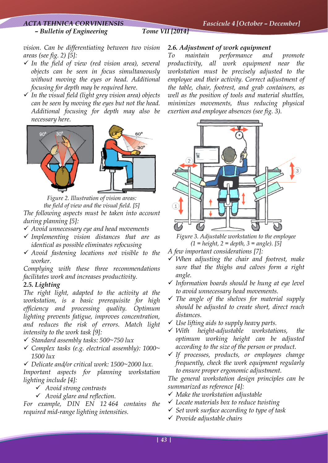#### *– Bulletin of Engineering Tome VII [2014]*

*vision. Can be differentiating between two vision areas (see fig. 2) [5]:* 

- 9 *In the field of view (red vision area), several objects can be seen in focus simultaneously without moving the eyes or head. Additional focusing for depth may be required here.*
- 9 *In the visual field (light grey vision area) objects can be seen by moving the eyes but not the head. Additional focusing for depth may also be necessary here.*



*Figure 2. Illustration of vision areas: the field of view and the visual field. [5] The following aspects must be taken into account during planning [5]:* 

- 9 *Avoid unnecessary eye and head movements*
- 9 *Implementing vision distances that are as identical as possible eliminates refocusing*
- 9 *Avoid fastening locations not visible to the worker.*

*Complying with these three recommendations facilitates work and increases productivity.* 

#### *2.5. Lighting*

*The right light, adapted to the activity at the workstation, is a basic prerequisite for high efficiency and processing quality. Optimum lighting prevents fatigue, improves concentration, and reduces the risk of errors. Match light intensity to the work task [9]:* 

- 9 *Standard assembly tasks: 500~750 lux*
- 9 *Complex tasks (e.g. electrical assembly): 1000~ 1500 lux*
- 9 *Delicate and/or critical work: 1500~2000 lux.*

*Important aspects for planning workstation lighting include [4]:* 

- 9 *Avoid strong contrasts*
- 9 *Avoid glare and reflection.*

*For example, DIN EN 12 464 contains the required mid-range lighting intensities.* 

#### *2.6. Adjustment of work equipment*

*To maintain performance and promote productivity, all work equipment near the workstation must be precisely adjusted to the employee and their activity. Correct adjustment of the table, chair, footrest, and grab containers, as well as the position of tools and material shuttles, minimizes movements, thus reducing physical exertion and employee absences (see fig. 3).*



*Figure 3. Adjustable workstation to the employee (1 = height, 2 = depth, 3 = angle). [5]* 

- *A few important considerations [7]:*
- 9 *When adjusting the chair and footrest, make sure that the thighs and calves form a right angle.*
- 9 *Information boards should be hung at eye level to avoid unnecessary head movements.*
- 9 *The angle of the shelves for material supply should be adjusted to create short, direct reach distances.*
- 9 *Use lifting aids to supply heavy parts.*
- 9 *With height-adjustable workstations, the optimum working height can be adjusted according to the size of the person or product.*
- 9 *If processes, products, or employees change frequently, check the work equipment regularly to ensure proper ergonomic adjustment.*

*The general workstation design principles can be summarized as reference [4]:* 

- 9 *Make the workstation adjustable*
- 9 *Locate materials box to reduce twisting*
- 9 *Set work surface according to type of task*
- 9 *Provide adjustable chairs*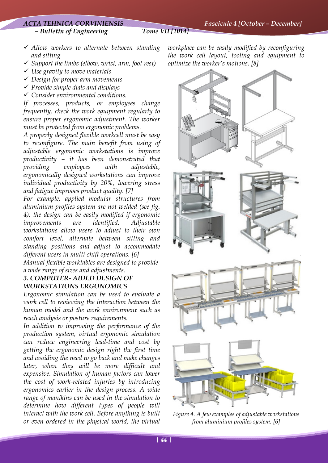#### *ACTA TEHNICA CORVINIENSIS Fascicule 4 [October – December]*

 *– Bulletin of Engineering Tome VII [2014]*

- 9 *Allow workers to alternate between standing and sitting*
- 9 *Support the limbs (elbow, wrist, arm, foot rest)*
- 9 *Use gravity to move materials*
- 9 *Design for proper arm movements*
- 9 *Provide simple dials and displays*
- 9 *Consider environmental conditions.*

*If processes, products, or employees change frequently, check the work equipment regularly to ensure proper ergonomic adjustment. The worker must be protected from ergonomic problems.* 

*A properly designed flexible workcell must be easy to reconfigure. The main benefit from using of adjustable ergonomic workstations is improve productivity – it has been demonstrated that providing employees with adjustable, ergonomically designed workstations can improve individual productivity by 20%, lowering stress and fatigue improves product quality. [7]* 

*For example, applied modular structures from aluminium profiles system are not welded (see fig. 4); the design can be easily modified if ergonomic improvements are identified. Adjustable workstations allow users to adjust to their own comfort level, alternate between sitting and standing positions and adjust to accommodate different users in multi-shift operations. [6]*

*Manual flexible worktables are designed to provide a wide range of sizes and adjustments.* 

### *3. COMPUTER- AIDED DESIGN OF WORKSTATIONS ERGONOMICS*

*Ergonomic simulation can be used to evaluate a work cell to reviewing the interaction between the human model and the work environment such as reach analysis or posture requirements.* 

*In addition to improving the performance of the production system, virtual ergonomic simulation can reduce engineering lead-time and cost by getting the ergonomic design right the first time and avoiding the need to go back and make changes later, when they will be more difficult and expensive. Simulation of human factors can lower the cost of work-related injuries by introducing ergonomics earlier in the design process. A wide range of manikins can be used in the simulation to determine how different types of people will interact with the work cell. Before anything is built or even ordered in the physical world, the virtual*  *workplace can be easily modified by reconfiguring the work cell layout, tooling and equipment to optimize the worker's motions. [8]* 



*Figure 4. A few examples of adjustable workstations from aluminium profiles system. [6]*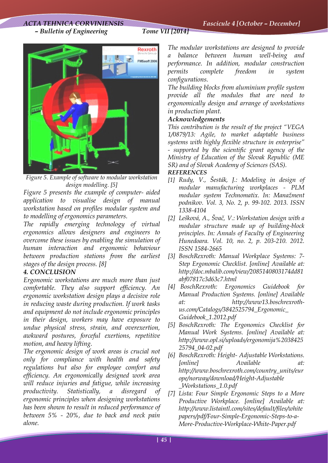## *ACTA TEHNICA CORVINIENSIS Fascicule 4 [October – December]*

 *– Bulletin of Engineering Tome VII [2014]* 



*Figure 5. Example of software to modular workstation design modelling. [5]* 

*Figure 5 presents the example of computer- aided application to visualise design of manual workstation based on profiles modular system and to modelling of ergonomics parameters.* 

*The rapidly emerging technology of virtual ergonomics allows designers and engineers to overcome these issues by enabling the simulation of human interaction and ergonomic behaviour between production stations from the earliest stages of the design process. [8]* 

### *4. CONCLUSION*

*Ergonomic workstations are much more than just comfortable. They also support efficiency. An ergonomic workstation design plays a decisive role in reducing waste during production. If work tasks and equipment do not include ergonomic principles in their design, workers may have exposure to undue physical stress, strain, and overexertion, awkward postures, forceful exertions, repetitive motion, and heavy lifting.* 

*The ergonomic design of work areas is crucial not only for compliance with health and safety regulations but also for employee comfort and efficiency. An ergonomically designed work area will reduce injuries and fatigue, while increasing productivity. Statistically, a disregard of ergonomic principles when designing workstations has been shown to result in reduced performance of between 5% - 20%, due to back and neck pain alone.* 

*The modular workstations are designed to provide a balance between human well-being and performance. In addition, modular construction permits complete freedom in system configurations.* 

*The building blocks from aluminium profile system provide all the modules that are need to ergonomically design and arrange of workstations in production plant.* 

### *Acknowledgements*

*This contribution is the result of the project "VEGA 1/0879/13: Agile, to market adaptable business systems with highly flexible structure in enterprise" - supported by the scientific grant agency of the Ministry of Education of the Slovak Republic (ME SR) and of Slovak Academy of Sciences (SAS). REFERENCES* 

#### *[1] Rudy, V., Šesták, J.: Modeling in design of modular manufacturing workplaces - PLM modular system Technomatix. In: Manažment podnikov. Vol. 3, No. 2, p. 99-102. 2013. ISSN 1338-4104*

- *[2] Lešková, A., Švač, V.: Workstation design with a modular structure made up of building-block principles. In: Annals of Faculty of Engineering Hunedoara. Vol. 10, no. 2, p. 203-210. 2012. ISSN 1584-2665*
- *[3] BoschRexroth: Manual Workplace Systems: 7- Step Ergonomic Checklist. [online] Available at: http://doc.mbalib.com/view/2085140803174dd81 abf07817c3d63c7.html*
- *[4] BoschRexroth: Ergonomics Guidebook for Manual Production Systems. [online] Available at: http://www13.boschrexrothus.com/Catalogs/3842525794\_Ergonomic\_ Guidebook\_1.2012.pdf*
- *[5] BoschRexroth: The Ergonomics Checklist for Manual Work Systems. [online] Available at: http://www.opl.si/uploads/ergonomija%2038425 25794\_04-02.pdf*
- *[6] BoschRexroth: Height- Adjustable Workstations. [online] Available at: http://www.boschrexroth.com/country\_units/eur ope/norway/download/Height-Adjustable \_Workstations\_1.0.pdf*
- *[7] Lista: Four Simple Ergonomic Steps to a More Productive Workplace. [online] Available at: http://www.listaintl.com/sites/default/files/white papers/pdf/Four-Simple-Ergonomic-Steps-to-a-More-Productive-Workplace-White-Paper.pdf*